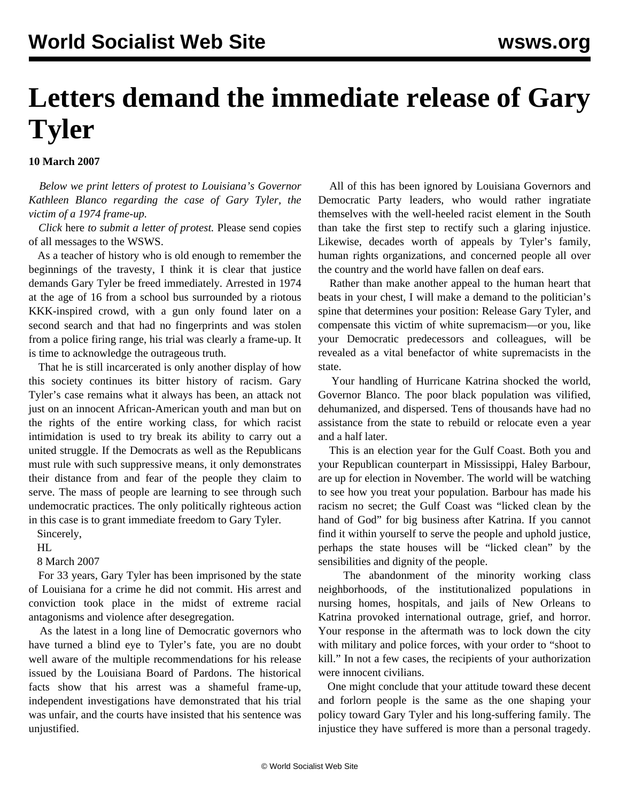## **Letters demand the immediate release of Gary Tyler**

**10 March 2007**

 *Below we print letters of protest to Louisiana's Governor Kathleen Blanco regarding the case of Gary Tyler, the victim of a 1974 frame-up.*

 *Click* [here](http://www.managekeelson.com/websites/la.gov/index.cfm?md=communication&tmp=signup&lisID=886) *to submit a letter of protest.* [Please send copies](http://www3.wsws.org/dd-formmailer/dd-formmailer.php) [of all messages to the WSWS.](http://www3.wsws.org/dd-formmailer/dd-formmailer.php)

 As a teacher of history who is old enough to remember the beginnings of the travesty, I think it is clear that justice demands Gary Tyler be freed immediately. Arrested in 1974 at the age of 16 from a school bus surrounded by a riotous KKK-inspired crowd, with a gun only found later on a second search and that had no fingerprints and was stolen from a police firing range, his trial was clearly a frame-up. It is time to acknowledge the outrageous truth.

 That he is still incarcerated is only another display of how this society continues its bitter history of racism. Gary Tyler's case remains what it always has been, an attack not just on an innocent African-American youth and man but on the rights of the entire working class, for which racist intimidation is used to try break its ability to carry out a united struggle. If the Democrats as well as the Republicans must rule with such suppressive means, it only demonstrates their distance from and fear of the people they claim to serve. The mass of people are learning to see through such undemocratic practices. The only politically righteous action in this case is to grant immediate freedom to Gary Tyler.

Sincerely,

HL

8 March 2007

 For 33 years, Gary Tyler has been imprisoned by the state of Louisiana for a crime he did not commit. His arrest and conviction took place in the midst of extreme racial antagonisms and violence after desegregation.

 As the latest in a long line of Democratic governors who have turned a blind eye to Tyler's fate, you are no doubt well aware of the multiple recommendations for his release issued by the Louisiana Board of Pardons. The historical facts show that his arrest was a shameful frame-up, independent investigations have demonstrated that his trial was unfair, and the courts have insisted that his sentence was unjustified.

 All of this has been ignored by Louisiana Governors and Democratic Party leaders, who would rather ingratiate themselves with the well-heeled racist element in the South than take the first step to rectify such a glaring injustice. Likewise, decades worth of appeals by Tyler's family, human rights organizations, and concerned people all over the country and the world have fallen on deaf ears.

 Rather than make another appeal to the human heart that beats in your chest, I will make a demand to the politician's spine that determines your position: Release Gary Tyler, and compensate this victim of white supremacism—or you, like your Democratic predecessors and colleagues, will be revealed as a vital benefactor of white supremacists in the state.

 Your handling of Hurricane Katrina shocked the world, Governor Blanco. The poor black population was vilified, dehumanized, and dispersed. Tens of thousands have had no assistance from the state to rebuild or relocate even a year and a half later.

 This is an election year for the Gulf Coast. Both you and your Republican counterpart in Mississippi, Haley Barbour, are up for election in November. The world will be watching to see how you treat your population. Barbour has made his racism no secret; the Gulf Coast was "licked clean by the hand of God" for big business after Katrina. If you cannot find it within yourself to serve the people and uphold justice, perhaps the state houses will be "licked clean" by the sensibilities and dignity of the people.

 The abandonment of the minority working class neighborhoods, of the institutionalized populations in nursing homes, hospitals, and jails of New Orleans to Katrina provoked international outrage, grief, and horror. Your response in the aftermath was to lock down the city with military and police forces, with your order to "shoot to kill." In not a few cases, the recipients of your authorization were innocent civilians.

 One might conclude that your attitude toward these decent and forlorn people is the same as the one shaping your policy toward Gary Tyler and his long-suffering family. The injustice they have suffered is more than a personal tragedy.